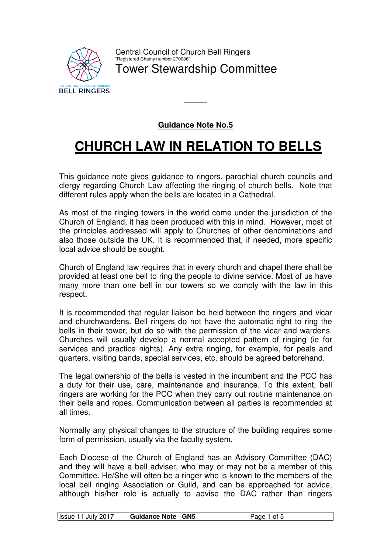

## **Guidance Note No.5**

# **CHURCH LAW IN RELATION TO BELLS**

This guidance note gives guidance to ringers, parochial church councils and clergy regarding Church Law affecting the ringing of church bells. Note that different rules apply when the bells are located in a Cathedral.

As most of the ringing towers in the world come under the jurisdiction of the Church of England, it has been produced with this in mind. However, most of the principles addressed will apply to Churches of other denominations and also those outside the UK. It is recommended that, if needed, more specific local advice should be sought.

Church of England law requires that in every church and chapel there shall be provided at least one bell to ring the people to divine service. Most of us have many more than one bell in our towers so we comply with the law in this respect.

It is recommended that regular liaison be held between the ringers and vicar and churchwardens. Bell ringers do not have the automatic right to ring the bells in their tower, but do so with the permission of the vicar and wardens. Churches will usually develop a normal accepted pattern of ringing (ie for services and practice nights). Any extra ringing, for example, for peals and quarters, visiting bands, special services, etc, should be agreed beforehand.

The legal ownership of the bells is vested in the incumbent and the PCC has a duty for their use, care, maintenance and insurance. To this extent, bell ringers are working for the PCC when they carry out routine maintenance on their bells and ropes. Communication between all parties is recommended at all times.

Normally any physical changes to the structure of the building requires some form of permission, usually via the faculty system.

Each Diocese of the Church of England has an Advisory Committee (DAC) and they will have a bell adviser, who may or may not be a member of this Committee. He/She will often be a ringer who is known to the members of the local bell ringing Association or Guild, and can be approached for advice, although his/her role is actually to advise the DAC rather than ringers

| <b>Issue 11 July 2017</b><br><b>Guidance Note GN5</b><br>Page 1 of 5 |
|----------------------------------------------------------------------|
|----------------------------------------------------------------------|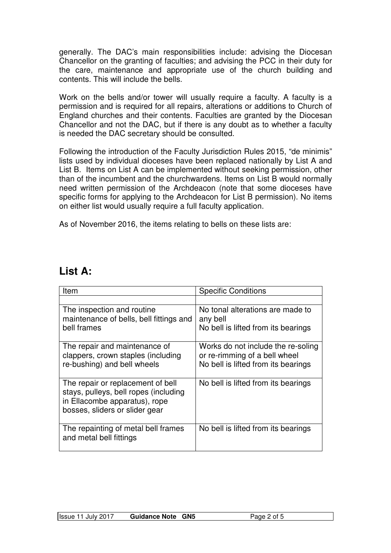generally. The DAC's main responsibilities include: advising the Diocesan Chancellor on the granting of faculties; and advising the PCC in their duty for the care, maintenance and appropriate use of the church building and contents. This will include the bells.

Work on the bells and/or tower will usually require a faculty. A faculty is a permission and is required for all repairs, alterations or additions to Church of England churches and their contents. Faculties are granted by the Diocesan Chancellor and not the DAC, but if there is any doubt as to whether a faculty is needed the DAC secretary should be consulted.

Following the introduction of the Faculty Jurisdiction Rules 2015, "de minimis" lists used by individual dioceses have been replaced nationally by List A and List B. Items on List A can be implemented without seeking permission, other than of the incumbent and the churchwardens. Items on List B would normally need written permission of the Archdeacon (note that some dioceses have specific forms for applying to the Archdeacon for List B permission). No items on either list would usually require a full faculty application.

As of November 2016, the items relating to bells on these lists are:

| Item                                                                                                                                          | <b>Specific Conditions</b>                                                                                 |
|-----------------------------------------------------------------------------------------------------------------------------------------------|------------------------------------------------------------------------------------------------------------|
|                                                                                                                                               |                                                                                                            |
| The inspection and routine<br>maintenance of bells, bell fittings and<br>bell frames                                                          | No tonal alterations are made to<br>any bell<br>No bell is lifted from its bearings                        |
| The repair and maintenance of<br>clappers, crown staples (including<br>re-bushing) and bell wheels                                            | Works do not include the re-soling<br>or re-rimming of a bell wheel<br>No bell is lifted from its bearings |
| The repair or replacement of bell<br>stays, pulleys, bell ropes (including<br>in Ellacombe apparatus), rope<br>bosses, sliders or slider gear | No bell is lifted from its bearings                                                                        |
| The repainting of metal bell frames<br>and metal bell fittings                                                                                | No bell is lifted from its bearings                                                                        |

## **List A:**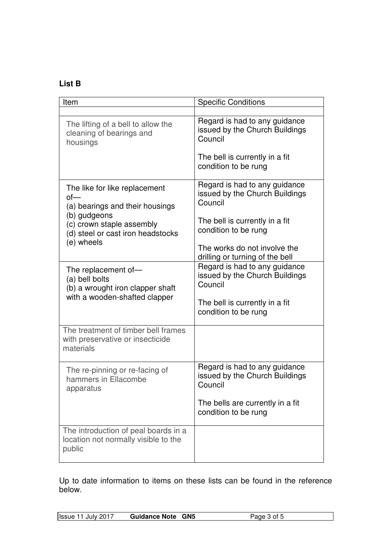## **List B**

| Item                                                                                                       | <b>Specific Conditions</b>                                                                                                           |
|------------------------------------------------------------------------------------------------------------|--------------------------------------------------------------------------------------------------------------------------------------|
|                                                                                                            |                                                                                                                                      |
| The lifting of a bell to allow the<br>cleaning of bearings and<br>housings                                 | Regard is had to any guidance<br>issued by the Church Buildings<br>Council                                                           |
|                                                                                                            | The bell is currently in a fit<br>condition to be rung                                                                               |
| The like for like replacement<br>of<br>(a) bearings and their housings                                     | Regard is had to any guidance<br>issued by the Church Buildings<br>Council                                                           |
| (b) gudgeons<br>(c) crown staple assembly<br>(d) steel or cast iron headstocks<br>(e) wheels               | The bell is currently in a fit<br>condition to be rung                                                                               |
|                                                                                                            | The works do not involve the<br>drilling or turning of the bell                                                                      |
| The replacement of-<br>(a) bell bolts<br>(b) a wrought iron clapper shaft<br>with a wooden-shafted clapper | Regard is had to any guidance<br>issued by the Church Buildings<br>Council<br>The bell is currently in a fit<br>condition to be rung |
| The treatment of timber bell frames<br>with preservative or insecticide<br>materials                       |                                                                                                                                      |
| The re-pinning or re-facing of<br>hammers in Ellacombe<br>apparatus                                        | Regard is had to any guidance<br>issued by the Church Buildings<br>Council                                                           |
|                                                                                                            | The bells are currently in a fit<br>condition to be rung                                                                             |
| The introduction of peal boards in a<br>location not normally visible to the<br>public                     |                                                                                                                                      |

Up to date information to items on these lists can be found in the reference below.

| <b>Issue 11 July 2017</b> | <b>Guidance Note GN5</b> | Page 3 of 5 |
|---------------------------|--------------------------|-------------|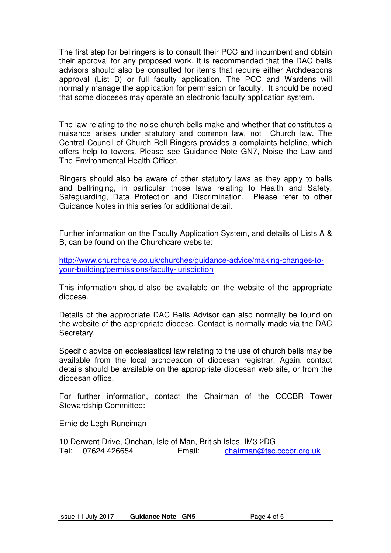The first step for bellringers is to consult their PCC and incumbent and obtain their approval for any proposed work. It is recommended that the DAC bells advisors should also be consulted for items that require either Archdeacons approval (List B) or full faculty application. The PCC and Wardens will normally manage the application for permission or faculty. It should be noted that some dioceses may operate an electronic faculty application system.

The law relating to the noise church bells make and whether that constitutes a nuisance arises under statutory and common law, not Church law. The Central Council of Church Bell Ringers provides a complaints helpline, which offers help to towers. Please see Guidance Note GN7, Noise the Law and The Environmental Health Officer.

Ringers should also be aware of other statutory laws as they apply to bells and bellringing, in particular those laws relating to Health and Safety, Safeguarding, Data Protection and Discrimination. Please refer to other Guidance Notes in this series for additional detail.

Further information on the Faculty Application System, and details of Lists A & B, can be found on the Churchcare website:

http://www.churchcare.co.uk/churches/guidance-advice/making-changes-toyour-building/permissions/faculty-jurisdiction

This information should also be available on the website of the appropriate diocese.

Details of the appropriate DAC Bells Advisor can also normally be found on the website of the appropriate diocese. Contact is normally made via the DAC Secretary.

Specific advice on ecclesiastical law relating to the use of church bells may be available from the local archdeacon of diocesan registrar. Again, contact details should be available on the appropriate diocesan web site, or from the diocesan office.

For further information, contact the Chairman of the CCCBR Tower Stewardship Committee:

Ernie de Legh-Runciman

10 Derwent Drive, Onchan, Isle of Man, British Isles, IM3 2DG Tel: 07624 426654 Email: chairman@tsc.cccbr.org.uk